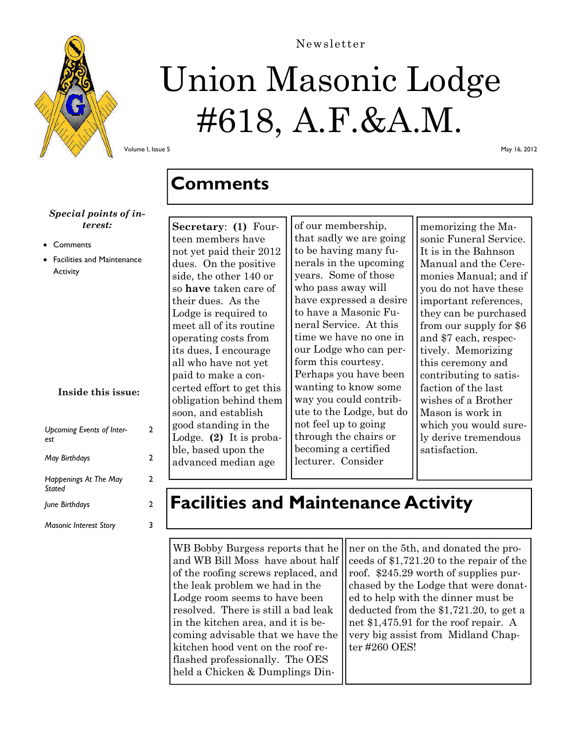

# Union Masonic Lodge #618, A.F.&A.M.

Newsletter

Volume I, Issue 5

#### *Special points of interest:*

- **Comments**
- Facilities and Maintenance **Activity**

#### **Inside this issue:**

 $\mathcal{L}$ 

| <b>Upcoming Events of Inter-</b><br>est | 2 |
|-----------------------------------------|---|
| <b>May Birthdays</b>                    | 2 |
| Happenings At The May<br>Stated         | 2 |
| June Birthdays                          | 2 |
| <b>Masonic Interest Story</b>           |   |

**Secretary**: **(1)** Fourteen members have not yet paid their 2012 dues. On the positive side, the other 140 or so **have** taken care of their dues. As the Lodge is required to meet all of its routine operating costs from its dues, I encourage all who have not yet paid to make a concerted effort to get this obligation behind them soon, and establish good standing in the Lodge. **(2)** It is probable, based upon the advanced median age

**Comments** 

of our membership, that sadly we are going to be having many funerals in the upcoming years. Some of those who pass away will have expressed a desire to have a Masonic Funeral Service. At this time we have no one in our Lodge who can perform this courtesy. Perhaps you have been wanting to know some way you could contribute to the Lodge, but do not feel up to going through the chairs or becoming a certified lecturer. Consider

memorizing the Masonic Funeral Service. It is in the Bahnson Manual and the Ceremonies Manual; and if you do not have these important references, they can be purchased from our supply for \$6 and \$7 each, respectively. Memorizing this ceremony and contributing to satisfaction of the last wishes of a Brother Mason is work in which you would surely derive tremendous satisfaction.

### **Facilities and Maintenance Activity**

WB Bobby Burgess reports that he and WB Bill Moss have about half of the roofing screws replaced, and the leak problem we had in the Lodge room seems to have been resolved. There is still a bad leak in the kitchen area, and it is becoming advisable that we have the kitchen hood vent on the roof reflashed professionally. The OES held a Chicken & Dumplings Din-

ner on the 5th, and donated the proceeds of \$1,721.20 to the repair of the roof. \$245.29 worth of supplies purchased by the Lodge that were donated to help with the dinner must be deducted from the \$1,721.20, to get a net \$1,475.91 for the roof repair. A very big assist from Midland Chapter #260 OES!

May 16, 2012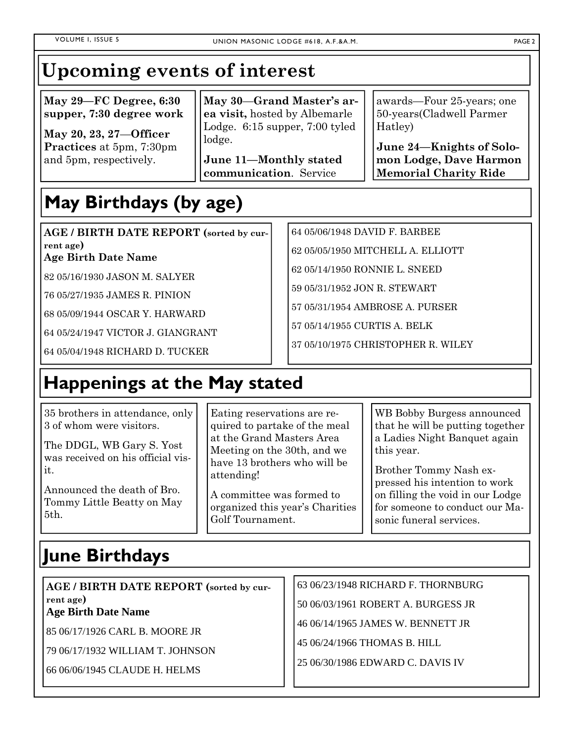### **Upcoming events of interest**

**May 29—FC Degree, 6:30 supper, 7:30 degree work** 

**May 20, 23, 27**—**Officer Practices** at 5pm, 7:30pm and 5pm, respectively.

**May 30**—**Grand Master's area visit,** hosted by Albemarle Lodge. 6:15 supper, 7:00 tyled lodge.

**June 11—Monthly stated communication**. Service

awards—Four 25-years; one 50-years(Cladwell Parmer Hatley)

**June 24—Knights of Solomon Lodge, Dave Harmon Memorial Charity Ride** 

## **May Birthdays (by age)**

**AGE / BIRTH DATE REPORT (sorted by current age)** 

**Age Birth Date Name** 

82 05/16/1930 JASON M. SALYER

76 05/27/1935 JAMES R. PINION

68 05/09/1944 OSCAR Y. HARWARD

64 05/24/1947 VICTOR J. GIANGRANT

64 05/04/1948 RICHARD D. TUCKER

### **Happenings at the May stated**

35 brothers in attendance, only 3 of whom were visitors.

The DDGL, WB Gary S. Yost was received on his official visit.

Announced the death of Bro. Tommy Little Beatty on May 5th.

Eating reservations are required to partake of the meal at the Grand Masters Area Meeting on the 30th, and we have 13 brothers who will be attending!

A committee was formed to organized this year's Charities Golf Tournament.

WB Bobby Burgess announced that he will be putting together a Ladies Night Banquet again this year.

Brother Tommy Nash expressed his intention to work on filling the void in our Lodge for someone to conduct our Masonic funeral services.

#### **June Birthdays**

**AGE / BIRTH DATE REPORT (sorted by current age) Age Birth Date Name** 

85 06/17/1926 CARL B. MOORE JR

79 06/17/1932 WILLIAM T. JOHNSON

66 06/06/1945 CLAUDE H. HELMS

63 06/23/1948 RICHARD F. THORNBURG

50 06/03/1961 ROBERT A. BURGESS JR

46 06/14/1965 JAMES W. BENNETT JR

45 06/24/1966 THOMAS B. HILL

64 05/06/1948 DAVID F. BARBEE

62 05/14/1950 RONNIE L. SNEED

59 05/31/1952 JON R. STEWART

57 05/14/1955 CURTIS A. BELK

57 05/31/1954 AMBROSE A. PURSER

37 05/10/1975 CHRISTOPHER R. WILEY

62 05/05/1950 MITCHELL A. ELLIOTT

25 06/30/1986 EDWARD C. DAVIS IV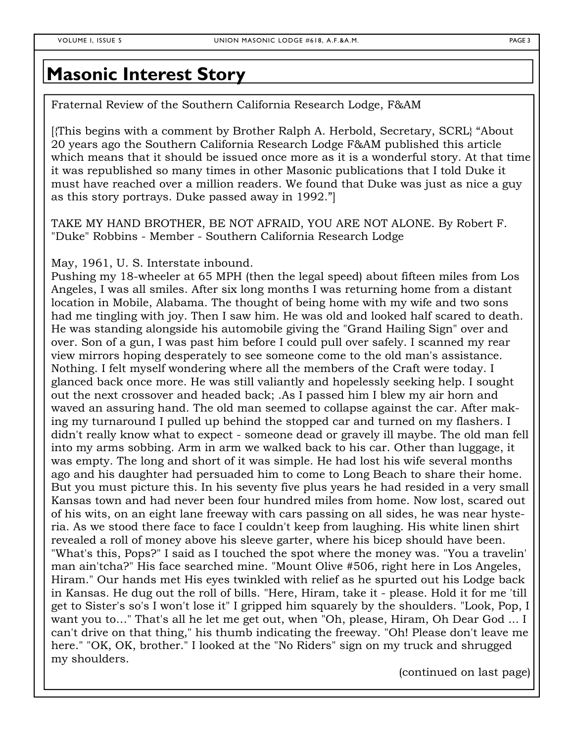#### **Masonic Interest Story**

Fraternal Review of the Southern California Research Lodge, F&AM

[{This begins with a comment by Brother Ralph A. Herbold, Secretary, SCRL} "About 20 years ago the Southern California Research Lodge F&AM published this article which means that it should be issued once more as it is a wonderful story. At that time it was republished so many times in other Masonic publications that I told Duke it must have reached over a million readers. We found that Duke was just as nice a guy as this story portrays. Duke passed away in 1992."]

TAKE MY HAND BROTHER, BE NOT AFRAID, YOU ARE NOT ALONE. By Robert F. "Duke" Robbins - Member - Southern California Research Lodge

May, 1961, U. S. Interstate inbound.

Pushing my 18-wheeler at 65 MPH (then the legal speed) about fifteen miles from Los Angeles, I was all smiles. After six long months I was returning home from a distant location in Mobile, Alabama. The thought of being home with my wife and two sons had me tingling with joy. Then I saw him. He was old and looked half scared to death. He was standing alongside his automobile giving the "Grand Hailing Sign" over and over. Son of a gun, I was past him before I could pull over safely. I scanned my rear view mirrors hoping desperately to see someone come to the old man's assistance. Nothing. I felt myself wondering where all the members of the Craft were today. I glanced back once more. He was still valiantly and hopelessly seeking help. I sought out the next crossover and headed back; .As I passed him I blew my air horn and waved an assuring hand. The old man seemed to collapse against the car. After making my turnaround I pulled up behind the stopped car and turned on my flashers. I didn't really know what to expect - someone dead or gravely ill maybe. The old man fell into my arms sobbing. Arm in arm we walked back to his car. Other than luggage, it was empty. The long and short of it was simple. He had lost his wife several months ago and his daughter had persuaded him to come to Long Beach to share their home. But you must picture this. In his seventy five plus years he had resided in a very small Kansas town and had never been four hundred miles from home. Now lost, scared out of his wits, on an eight lane freeway with cars passing on all sides, he was near hysteria. As we stood there face to face I couldn't keep from laughing. His white linen shirt revealed a roll of money above his sleeve garter, where his bicep should have been. "What's this, Pops?" I said as I touched the spot where the money was. "You a travelin' man ain'tcha?" His face searched mine. "Mount Olive #506, right here in Los Angeles, Hiram." Our hands met His eyes twinkled with relief as he spurted out his Lodge back in Kansas. He dug out the roll of bills. "Here, Hiram, take it - please. Hold it for me 'till get to Sister's so's I won't lose it" I gripped him squarely by the shoulders. "Look, Pop, I want you to…" That's all he let me get out, when "Oh, please, Hiram, Oh Dear God ... I can't drive on that thing," his thumb indicating the freeway. "Oh! Please don't leave me here." "OK, OK, brother." I looked at the "No Riders" sign on my truck and shrugged my shoulders.

(continued on last page)